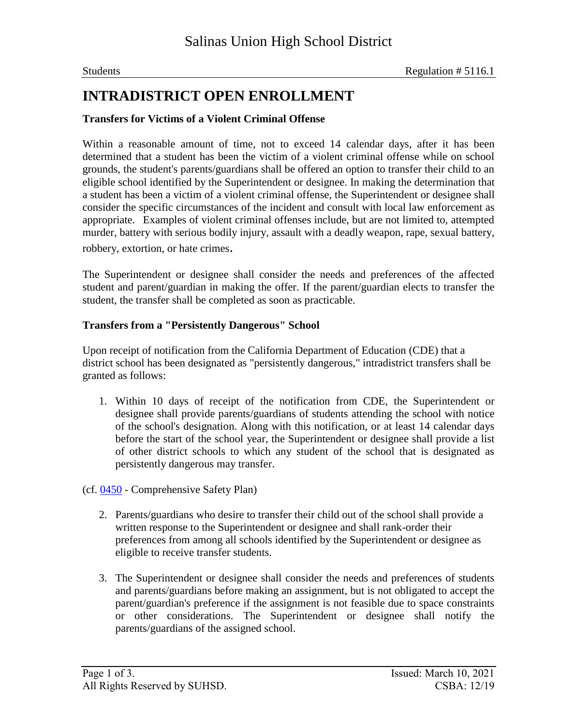## **INTRADISTRICT OPEN ENROLLMENT**

#### **Transfers for Victims of a Violent Criminal Offense**

Within a reasonable amount of time, not to exceed 14 calendar days, after it has been determined that a student has been the victim of a violent criminal offense while on school grounds, the student's parents/guardians shall be offered an option to transfer their child to an eligible school identified by the Superintendent or designee. In making the determination that a student has been a victim of a violent criminal offense, the Superintendent or designee shall consider the specific circumstances of the incident and consult with local law enforcement as appropriate. Examples of violent criminal offenses include, but are not limited to, attempted murder, battery with serious bodily injury, assault with a deadly weapon, rape, sexual battery, robbery, extortion, or hate crimes.

The Superintendent or designee shall consider the needs and preferences of the affected student and parent/guardian in making the offer. If the parent/guardian elects to transfer the student, the transfer shall be completed as soon as practicable.

#### **Transfers from a "Persistently Dangerous" School**

Upon receipt of notification from the California Department of Education (CDE) that a district school has been designated as "persistently dangerous," intradistrict transfers shall be granted as follows:

- 1. Within 10 days of receipt of the notification from CDE, the Superintendent or designee shall provide parents/guardians of students attending the school with notice of the school's designation. Along with this notification, or at least 14 calendar days before the start of the school year, the Superintendent or designee shall provide a list of other district schools to which any student of the school that is designated as persistently dangerous may transfer.
- (cf. 0450 Comprehensive Safety Plan)
	- 2. Parents/guardians who desire to transfer their child out of the school shall provide a written response to the Superintendent or designee and shall rank-order their preferences from among all schools identified by the Superintendent or designee as eligible to receive transfer students.
	- 3. The Superintendent or designee shall consider the needs and preferences of students and parents/guardians before making an assignment, but is not obligated to accept the parent/guardian's preference if the assignment is not feasible due to space constraints or other considerations. The Superintendent or designee shall notify the parents/guardians of the assigned school.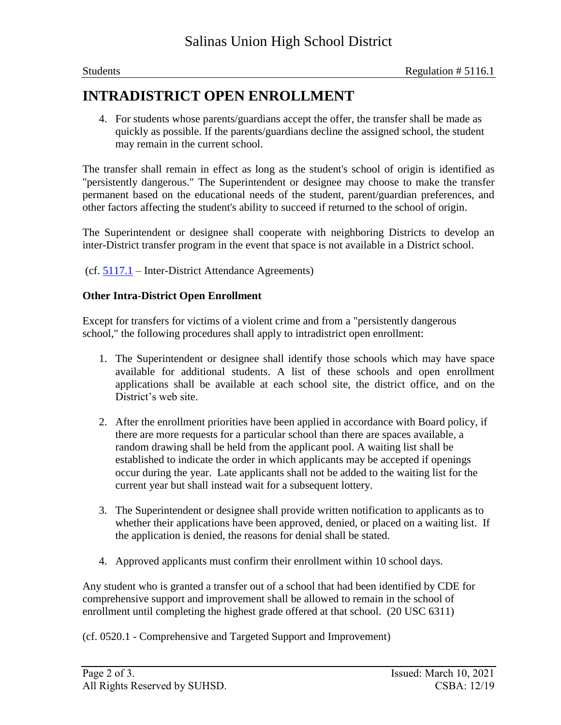## **INTRADISTRICT OPEN ENROLLMENT**

4. For students whose parents/guardians accept the offer, the transfer shall be made as quickly as possible. If the parents/guardians decline the assigned school, the student may remain in the current school.

The transfer shall remain in effect as long as the student's school of origin is identified as "persistently dangerous." The Superintendent or designee may choose to make the transfer permanent based on the educational needs of the student, parent/guardian preferences, and other factors affecting the student's ability to succeed if returned to the school of origin.

The Superintendent or designee shall cooperate with neighboring Districts to develop an inter-District transfer program in the event that space is not available in a District school.

(cf. 5117.1 – Inter-District Attendance Agreements)

#### **Other Intra-District Open Enrollment**

Except for transfers for victims of a violent crime and from a "persistently dangerous school," the following procedures shall apply to intradistrict open enrollment:

- 1. The Superintendent or designee shall identify those schools which may have space available for additional students. A list of these schools and open enrollment applications shall be available at each school site, the district office, and on the District's web site.
- 2. After the enrollment priorities have been applied in accordance with Board policy, if there are more requests for a particular school than there are spaces available, a random drawing shall be held from the applicant pool. A waiting list shall be established to indicate the order in which applicants may be accepted if openings occur during the year. Late applicants shall not be added to the waiting list for the current year but shall instead wait for a subsequent lottery.
- 3. The Superintendent or designee shall provide written notification to applicants as to whether their applications have been approved, denied, or placed on a waiting list. If the application is denied, the reasons for denial shall be stated.
- 4. Approved applicants must confirm their enrollment within 10 school days.

Any student who is granted a transfer out of a school that had been identified by CDE for comprehensive support and improvement shall be allowed to remain in the school of enrollment until completing the highest grade offered at that school. (20 USC 6311)

(cf. 0520.1 - Comprehensive and Targeted Support and Improvement)